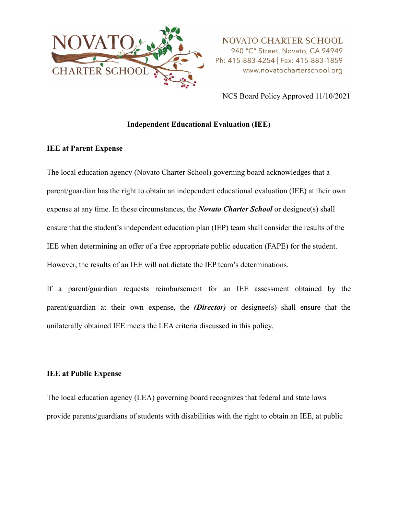

NCS Board Policy Approved 11/10/2021

### **Independent Educational Evaluation (IEE)**

#### **IEE at Parent Expense**

The local education agency (Novato Charter School) governing board acknowledges that a parent/guardian has the right to obtain an independent educational evaluation (IEE) at their own expense at any time. In these circumstances, the *Novato Charter School* or designee(s) shall ensure that the student's independent education plan (IEP) team shall consider the results of the IEE when determining an offer of a free appropriate public education (FAPE) for the student. However, the results of an IEE will not dictate the IEP team's determinations.

If a parent/guardian requests reimbursement for an IEE assessment obtained by the parent/guardian at their own expense, the *(Director)* or designee(s) shall ensure that the unilaterally obtained IEE meets the LEA criteria discussed in this policy.

#### **IEE at Public Expense**

The local education agency (LEA) governing board recognizes that federal and state laws provide parents/guardians of students with disabilities with the right to obtain an IEE, at public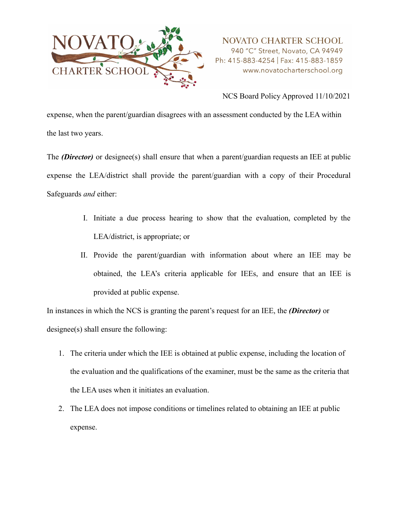

NCS Board Policy Approved 11/10/2021

expense, when the parent/guardian disagrees with an assessment conducted by the LEA within the last two years.

The *(Director)* or designee(s) shall ensure that when a parent/guardian requests an IEE at public expense the LEA/district shall provide the parent/guardian with a copy of their Procedural Safeguards *and* either:

- I. Initiate a due process hearing to show that the evaluation, completed by the LEA/district, is appropriate; or
- II. Provide the parent/guardian with information about where an IEE may be obtained, the LEA's criteria applicable for IEEs, and ensure that an IEE is provided at public expense.

In instances in which the NCS is granting the parent's request for an IEE, the *(Director)* or designee(s) shall ensure the following:

- 1. The criteria under which the IEE is obtained at public expense, including the location of the evaluation and the qualifications of the examiner, must be the same as the criteria that the LEA uses when it initiates an evaluation.
- 2. The LEA does not impose conditions or timelines related to obtaining an IEE at public expense.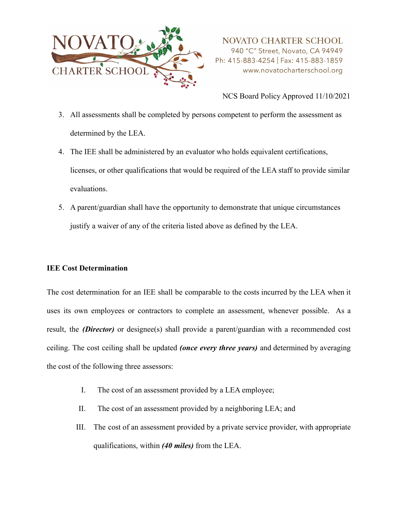

NCS Board Policy Approved 11/10/2021

- 3. All assessments shall be completed by persons competent to perform the assessment as determined by the LEA.
- 4. The IEE shall be administered by an evaluator who holds equivalent certifications, licenses, or other qualifications that would be required of the LEA staff to provide similar evaluations.
- 5. A parent/guardian shall have the opportunity to demonstrate that unique circumstances justify a waiver of any of the criteria listed above as defined by the LEA.

## **IEE Cost Determination**

The cost determination for an IEE shall be comparable to the costs incurred by the LEA when it uses its own employees or contractors to complete an assessment, whenever possible. As a result, the *(Director)* or designee(s) shall provide a parent/guardian with a recommended cost ceiling. The cost ceiling shall be updated *(once every three years)* and determined by averaging the cost of the following three assessors:

- I. The cost of an assessment provided by a LEA employee;
- II. The cost of an assessment provided by a neighboring LEA; and
- III. The cost of an assessment provided by a private service provider, with appropriate qualifications, within *(40 miles)* from the LEA.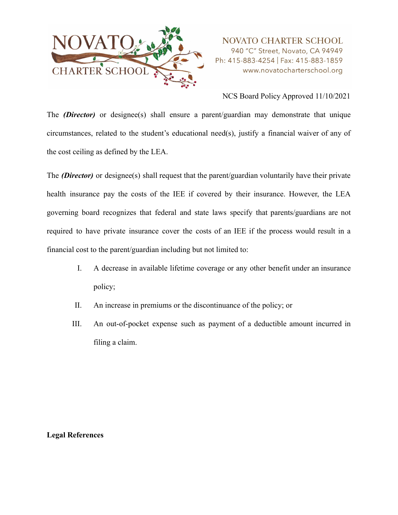

### NCS Board Policy Approved 11/10/2021

The *(Director)* or designee(s) shall ensure a parent/guardian may demonstrate that unique circumstances, related to the student's educational need(s), justify a financial waiver of any of the cost ceiling as defined by the LEA.

The *(Director)* or designee(s) shall request that the parent/guardian voluntarily have their private health insurance pay the costs of the IEE if covered by their insurance. However, the LEA governing board recognizes that federal and state laws specify that parents/guardians are not required to have private insurance cover the costs of an IEE if the process would result in a financial cost to the parent/guardian including but not limited to:

- I. A decrease in available lifetime coverage or any other benefit under an insurance policy;
- II. An increase in premiums or the discontinuance of the policy; or
- III. An out-of-pocket expense such as payment of a deductible amount incurred in filing a claim.

#### **Legal References**